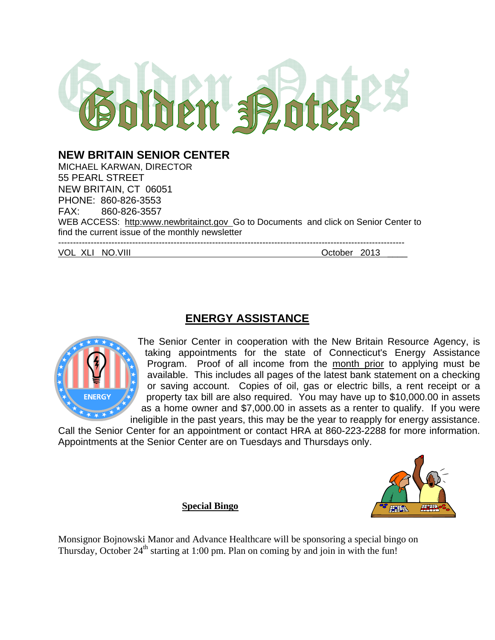

# **NEW BRITAIN SENIOR CENTER**

MICHAEL KARWAN, DIRECTOR 55 PEARL STREET NEW BRITAIN, CT 06051 PHONE: 860-826-3553 FAX: 860-826-3557 WEB ACCESS: http:www.newbritainct.gov\_Go to Documents and click on Senior Center to find the current issue of the monthly newsletter --------------------------------------------------------------------------------------------------------------------- VOL XLI NO.VIII **October 2013** 

# **ENERGY ASSISTANCE**



The Senior Center in cooperation with the New Britain Resource Agency, is taking appointments for the state of Connecticut's Energy Assistance Program. Proof of all income from the month prior to applying must be available. This includes all pages of the latest bank statement on a checking or saving account. Copies of oil, gas or electric bills, a rent receipt or a property tax bill are also required. You may have up to \$10,000.00 in assets as a home owner and \$7,000.00 in assets as a renter to qualify. If you were ineligible in the past years, this may be the year to reapply for energy assistance.

Call the Senior Center for an appointment or contact HRA at 860-223-2288 for more information. Appointments at the Senior Center are on Tuesdays and Thursdays only.



**Special Bingo** 

Monsignor Bojnowski Manor and Advance Healthcare will be sponsoring a special bingo on Thursday, October  $24<sup>th</sup>$  starting at 1:00 pm. Plan on coming by and join in with the fun!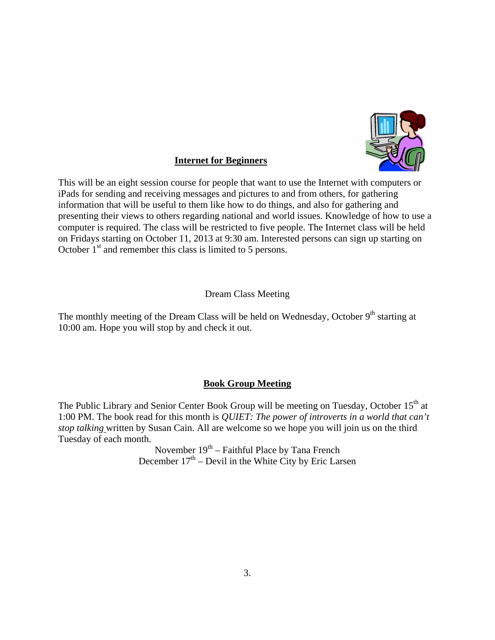

# **Internet for Beginners**

This will be an eight session course for people that want to use the Internet with computers or iPads for sending and receiving messages and pictures to and from others, for gathering information that will be useful to them like how to do things, and also for gathering and presenting their views to others regarding national and world issues. Knowledge of how to use a computer is required. The class will be restricted to five people. The Internet class will be held on Fridays starting on October 11, 2013 at 9:30 am. Interested persons can sign up starting on October  $1<sup>st</sup>$  and remember this class is limited to 5 persons.

# Dream Class Meeting

The monthly meeting of the Dream Class will be held on Wednesday, October  $9<sup>th</sup>$  starting at 10:00 am. Hope you will stop by and check it out.

# **Book Group Meeting**

The Public Library and Senior Center Book Group will be meeting on Tuesday, October 15<sup>th</sup> at 1:00 PM. The book read for this month is *QUIET: The power of introverts in a world that can't stop talking* written by Susan Cain. All are welcome so we hope you will join us on the third Tuesday of each month.

November  $19<sup>th</sup>$  – Faithful Place by Tana French December  $17<sup>th</sup>$  – Devil in the White City by Eric Larsen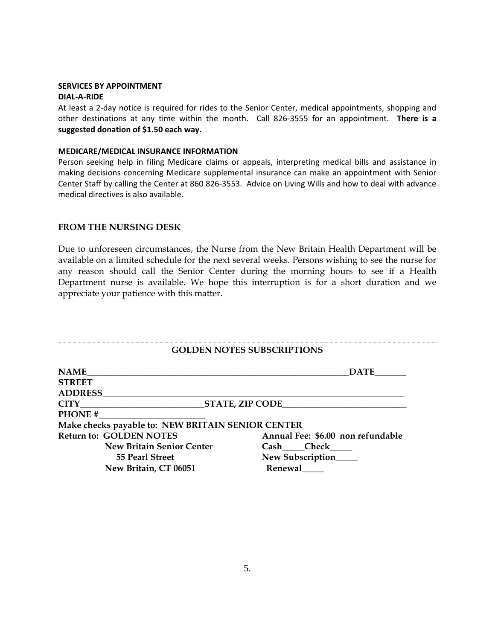#### **SERVICES BY APPOINTMENT DIAL‐A‐RIDE**

At least a 2‐day notice is required for rides to the Senior Center, medical appointments, shopping and other destinations at any time within the month. Call 826‐3555 for an appointment. **There is a suggested donation of \$1.50 each way.**

### **MEDICARE/MEDICAL INSURANCE INFORMATION**

Person seeking help in filing Medicare claims or appeals, interpreting medical bills and assistance in making decisions concerning Medicare supplemental insurance can make an appointment with Senior Center Staff by calling the Center at 860 826‐3553. Advice on Living Wills and how to deal with advance medical directives is also available.

# **FROM THE NURSING DESK**

Due to unforeseen circumstances, the Nurse from the New Britain Health Department will be available on a limited schedule for the next several weeks. Persons wishing to see the nurse for any reason should call the Senior Center during the morning hours to see if a Health Department nurse is available. We hope this interruption is for a short duration and we appreciate your patience with this matter.

| <b>GOLDEN NOTES SUBSCRIPTIONS</b>                 |                                   |
|---------------------------------------------------|-----------------------------------|
| <b>NAME</b>                                       | <b>DATE</b>                       |
| <b>STREET</b>                                     |                                   |
| <b>ADDRESS</b>                                    |                                   |
| <b>CITY</b>                                       | <b>STATE, ZIP CODE</b>            |
| <b>PHONE#</b>                                     |                                   |
| Make checks payable to: NEW BRITAIN SENIOR CENTER |                                   |
| <b>Return to: GOLDEN NOTES</b>                    | Annual Fee: \$6.00 non refundable |
| <b>New Britain Senior Center</b>                  | Cash Check                        |
| 55 Pearl Street                                   | New Subscription                  |
| New Britain, CT 06051                             | Renewal                           |